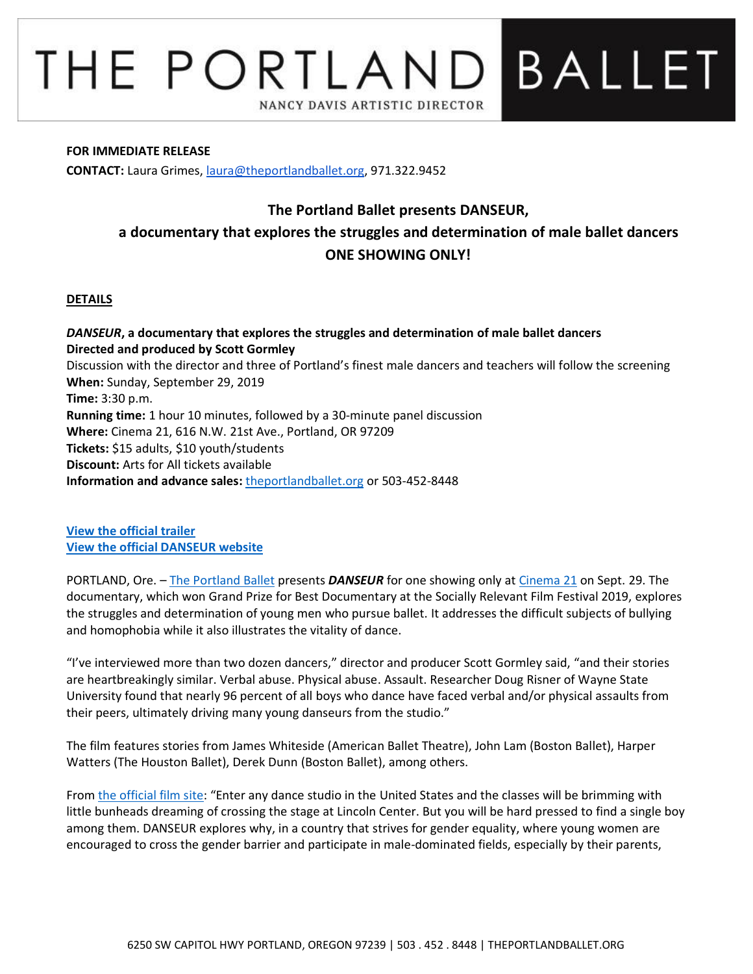# BALLET THE PORTLAND NANCY DAVIS ARTISTIC DIRECTOR

#### **FOR IMMEDIATE RELEASE**

**CONTACT:** Laura Grimes, [laura@theportlandballet.org,](mailto:laura@theportlandballet.org) 971.322.9452

### **The Portland Ballet presents DANSEUR,**

## **a documentary that explores the struggles and determination of male ballet dancers ONE SHOWING ONLY!**

#### **DETAILS**

*DANSEUR***, a documentary that explores the struggles and determination of male ballet dancers Directed and produced by Scott Gormley**  Discussion with the director and three of Portland's finest male dancers and teachers will follow the screening **When:** Sunday, September 29, 2019 **Time:** 3:30 p.m. **Running time:** 1 hour 10 minutes, followed by a 30-minute panel discussion **Where:** Cinema 21, 616 N.W. 21st Ave., Portland, OR 97209 **Tickets:** \$15 adults, \$10 youth/students **Discount:** Arts for All tickets available **Information and advance sales:** [theportlandballet.org](https://theportlandballet.org/) or 503-452-8448

#### **[View the official trailer](https://www.youtube.com/watch?time_continue=6&v=IhwPMbke0Xk) [View the official DANSEUR website](http://danseurmovie.com/)**

PORTLAND, Ore. – [The Portland Ballet](http://theportlandballet.org/) presents *DANSEUR* for one showing only at [Cinema 21 o](https://www.cinema21.com/)n Sept. 29. The documentary, which won Grand Prize for Best Documentary at the Socially Relevant Film Festival 2019, explores the struggles and determination of young men who pursue ballet. It addresses the difficult subjects of bullying and homophobia while it also illustrates the vitality of dance.

"I've interviewed more than two dozen dancers," director and producer Scott Gormley said, "and their stories are heartbreakingly similar. Verbal abuse. Physical abuse. Assault. Researcher Doug Risner of Wayne State University found that nearly 96 percent of all boys who dance have faced verbal and/or physical assaults from their peers, ultimately driving many young danseurs from the studio."

The film features stories from James Whiteside (American Ballet Theatre), John Lam (Boston Ballet), Harper Watters (The Houston Ballet), Derek Dunn (Boston Ballet), among others.

From [the official film site:](http://danseurmovie.com/) "Enter any dance studio in the United States and the classes will be brimming with little bunheads dreaming of crossing the stage at Lincoln Center. But you will be hard pressed to find a single boy among them. DANSEUR explores why, in a country that strives for gender equality, where young women are encouraged to cross the gender barrier and participate in male-dominated fields, especially by their parents,